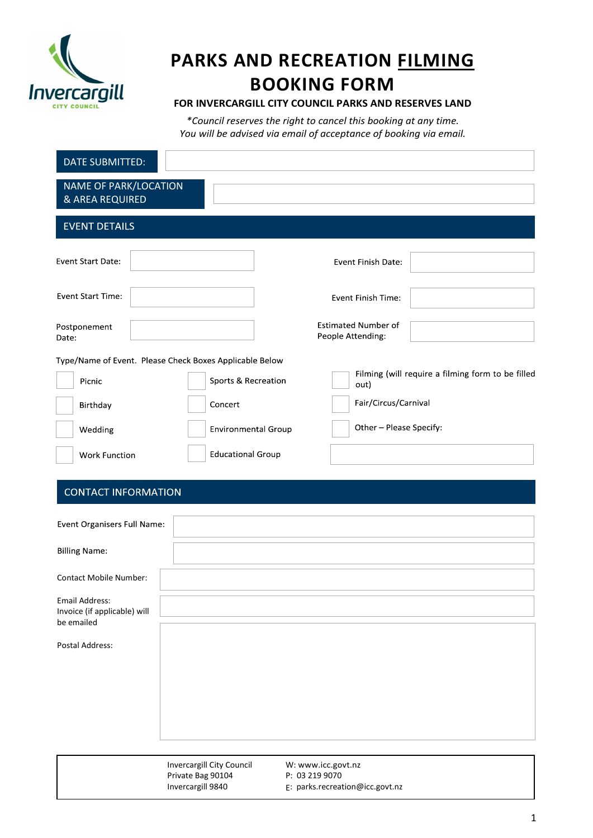

# **PARKS AND RECREATION FILMING BOOKING FORM**

# **FOR INVERCARGILL CITY COUNCIL PARKS AND RESERVES LAND**

*\*Council reserves the right to cancel this booking at any time. You will be advised via email of acceptance of booking via email.* 

| DATE SUBMITTED:                                 |                                                         |                                                           |
|-------------------------------------------------|---------------------------------------------------------|-----------------------------------------------------------|
| <b>NAME OF PARK/LOCATION</b><br>& AREA REQUIRED |                                                         |                                                           |
| <b>EVENT DETAILS</b>                            |                                                         |                                                           |
| <b>Event Start Date:</b>                        |                                                         | Event Finish Date:                                        |
| <b>Event Start Time:</b>                        |                                                         | Event Finish Time:                                        |
| Postponement<br>Date:                           |                                                         | <b>Estimated Number of</b><br>People Attending:           |
|                                                 | Type/Name of Event. Please Check Boxes Applicable Below |                                                           |
| Picnic                                          | Sports & Recreation                                     | Filming (will require a filming form to be filled<br>out) |
| Birthday                                        | Concert                                                 | Fair/Circus/Carnival                                      |
| Wedding                                         | <b>Environmental Group</b>                              | Other - Please Specify:                                   |
| <b>Work Function</b>                            | <b>Educational Group</b>                                |                                                           |
| <b>CONTACT INFORMATION</b>                      |                                                         |                                                           |
| Event Organisers Full Name:                     |                                                         |                                                           |
| <b>Billing Name:</b>                            |                                                         |                                                           |
| <b>Contact Mobile Number:</b>                   |                                                         |                                                           |
| Email Address:                                  |                                                         |                                                           |
| Invoice (if applicable) will<br>be emailed      |                                                         |                                                           |
| Postal Address:                                 |                                                         |                                                           |
|                                                 |                                                         |                                                           |
|                                                 |                                                         |                                                           |
|                                                 |                                                         |                                                           |
|                                                 |                                                         |                                                           |
|                                                 | Invercargill City Council                               | W: www.icc.govt.nz                                        |
|                                                 | Private Bag 90104<br>Invercargill 9840                  | P: 03 219 9070<br>E: parks.recreation@icc.govt.nz         |

 $\overline{\phantom{a}}$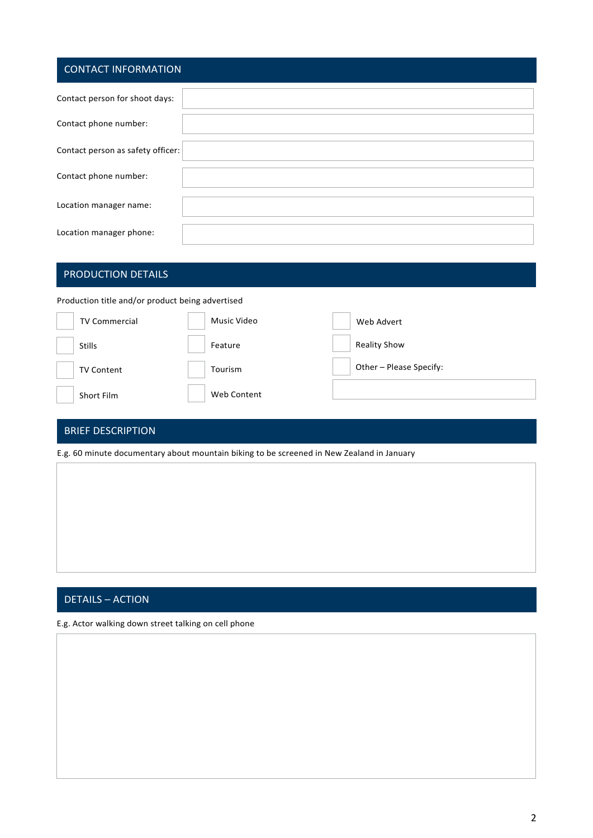# CONTACT INFORMATION

| Contact person for shoot days:    |  |
|-----------------------------------|--|
| Contact phone number:             |  |
| Contact person as safety officer: |  |
| Contact phone number:             |  |
| Location manager name:            |  |
| Location manager phone:           |  |

# PRODUCTION DETAILS

Production title and/or product being advertised

| <b>TV Commercial</b> | Music Video | Web Advert              |
|----------------------|-------------|-------------------------|
| <b>Stills</b>        | Feature     | <b>Reality Show</b>     |
| <b>TV Content</b>    | Tourism     | Other - Please Specify: |
| Short Film           | Web Content |                         |

## BRIEF DESCRIPTION

E.g. 60 minute documentary about mountain biking to be screened in New Zealand in January

# DETAILS – ACTION

E.g. Actor walking down street talking on cell phone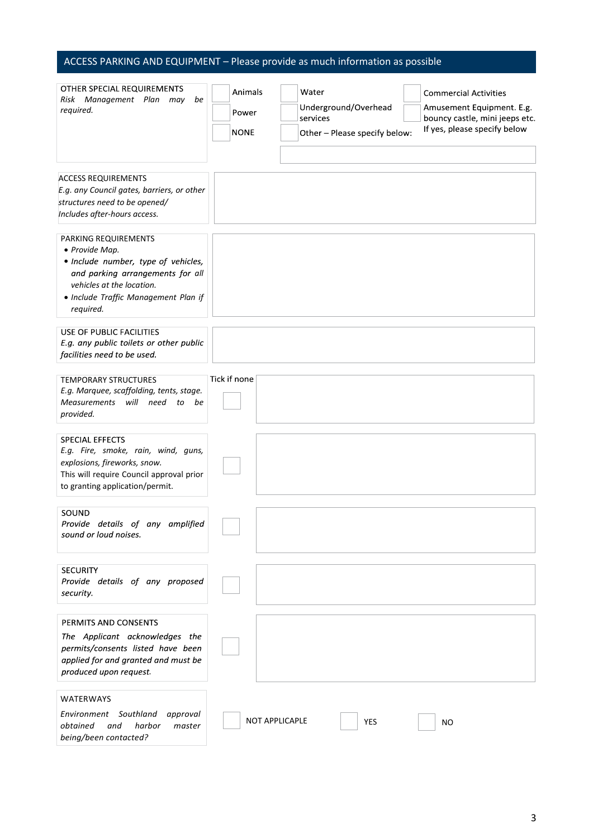# ACCESS PARKING AND EQUIPMENT – Please provide as much information as possible

| OTHER SPECIAL REQUIREMENTS<br>Risk Management Plan may be<br>required.                                                                                                                              | Animals<br>Power<br>NONE | Water<br>Underground/Overhead<br>services<br>Other - Please specify below: |            | <b>Commercial Activities</b><br>Amusement Equipment. E.g.<br>bouncy castle, mini jeeps etc.<br>If yes, please specify below |
|-----------------------------------------------------------------------------------------------------------------------------------------------------------------------------------------------------|--------------------------|----------------------------------------------------------------------------|------------|-----------------------------------------------------------------------------------------------------------------------------|
| <b>ACCESS REQUIREMENTS</b><br>E.g. any Council gates, barriers, or other<br>structures need to be opened/<br>Includes after-hours access.                                                           |                          |                                                                            |            |                                                                                                                             |
| PARKING REQUIREMENTS<br>• Provide Map.<br>· Include number, type of vehicles,<br>and parking arrangements for all<br>vehicles at the location.<br>· Include Traffic Management Plan if<br>required. |                          |                                                                            |            |                                                                                                                             |
| USE OF PUBLIC FACILITIES<br>E.g. any public toilets or other public<br>facilities need to be used.                                                                                                  |                          |                                                                            |            |                                                                                                                             |
| <b>TEMPORARY STRUCTURES</b><br>E.g. Marquee, scaffolding, tents, stage.<br><b>Measurements</b><br>will need<br>to be<br>provided.                                                                   | Tick if none             |                                                                            |            |                                                                                                                             |
| <b>SPECIAL EFFECTS</b><br>E.g. Fire, smoke, rain, wind, guns,<br>explosions, fireworks, snow.<br>This will require Council approval prior<br>to granting application/permit.                        |                          |                                                                            |            |                                                                                                                             |
| SOUND<br>Provide details of any amplified<br>sound or loud noises.                                                                                                                                  |                          |                                                                            |            |                                                                                                                             |
| <b>SECURITY</b><br>Provide details of any proposed<br>security.                                                                                                                                     |                          |                                                                            |            |                                                                                                                             |
| PERMITS AND CONSENTS<br>The Applicant acknowledges the<br>permits/consents listed have been<br>applied for and granted and must be<br>produced upon request.                                        |                          |                                                                            |            |                                                                                                                             |
| <b>WATERWAYS</b><br>Environment Southland<br>approval<br>obtained<br>and<br>harbor<br>master<br>being/been contacted?                                                                               |                          | <b>NOT APPLICAPLE</b>                                                      | <b>YES</b> | ΝO                                                                                                                          |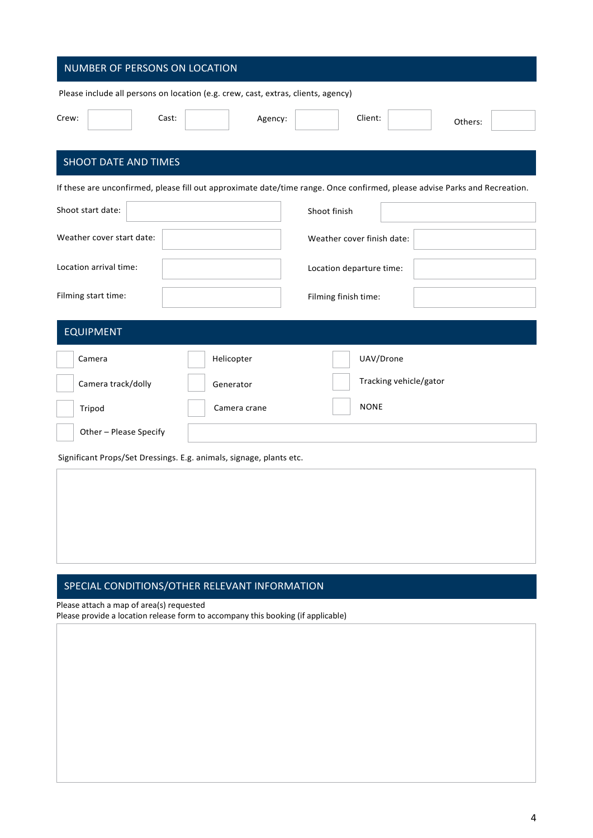| NUMBER OF PERSONS ON LOCATION                                                     |                                                                                                                            |  |  |
|-----------------------------------------------------------------------------------|----------------------------------------------------------------------------------------------------------------------------|--|--|
| Please include all persons on location (e.g. crew, cast, extras, clients, agency) |                                                                                                                            |  |  |
| Crew:<br>Cast:<br>Agency:                                                         | Client:<br>Others:                                                                                                         |  |  |
| SHOOT DATE AND TIMES                                                              |                                                                                                                            |  |  |
|                                                                                   | If these are unconfirmed, please fill out approximate date/time range. Once confirmed, please advise Parks and Recreation. |  |  |
| Shoot start date:                                                                 | Shoot finish                                                                                                               |  |  |
| Weather cover start date:                                                         | Weather cover finish date:                                                                                                 |  |  |
| Location arrival time:                                                            | Location departure time:                                                                                                   |  |  |
| Filming start time:                                                               | Filming finish time:                                                                                                       |  |  |
| <b>EQUIPMENT</b>                                                                  |                                                                                                                            |  |  |
| Helicopter<br>Camera                                                              | UAV/Drone                                                                                                                  |  |  |
| Camera track/dolly<br>Generator                                                   | Tracking vehicle/gator                                                                                                     |  |  |
| Tripod<br>Camera crane                                                            | <b>NONE</b>                                                                                                                |  |  |
| Other - Please Specify                                                            |                                                                                                                            |  |  |
| Significant Props/Set Dressings. E.g. animals, signage, plants etc.               |                                                                                                                            |  |  |
|                                                                                   |                                                                                                                            |  |  |
|                                                                                   |                                                                                                                            |  |  |
|                                                                                   |                                                                                                                            |  |  |

# SPECIAL CONDITIONS/OTHER RELEVANT INFORMATION

Please attach a map of area(s) requested

Please provide a location release form to accompany this booking (if applicable)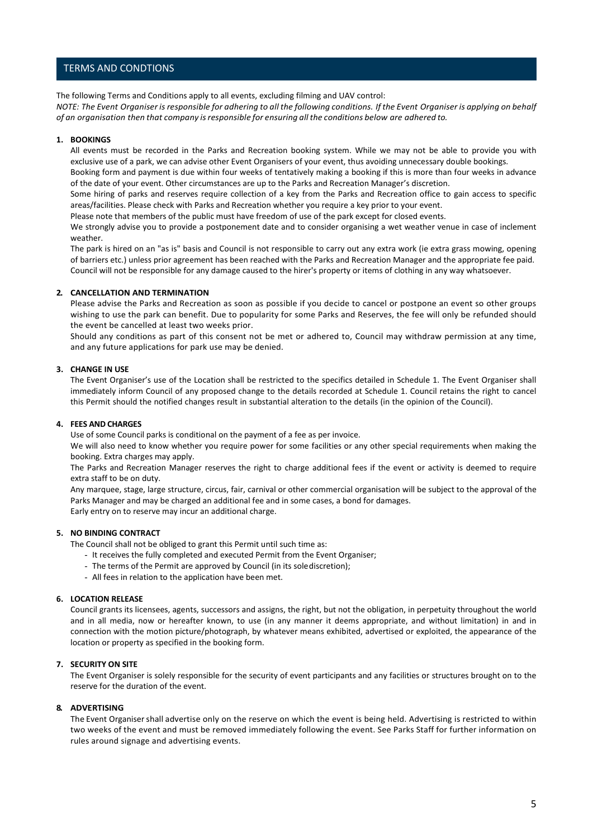### TERMS AND CONDTIONS

The following Terms and Conditions apply to all events, excluding filming and UAV control: NOTE: The Event Organiser is responsible for adhering to all the following conditions. If the Event Organiser is applying on behalf *of an organisation then that company isresponsible for ensuring all the conditions below are adhered to.*

#### **1. BOOKINGS**

All events must be recorded in the Parks and Recreation booking system. While we may not be able to provide you with exclusive use of a park, we can advise other Event Organisers of your event, thus avoiding unnecessary double bookings.

Booking form and payment is due within four weeks of tentatively making a booking if this is more than four weeks in advance of the date of your event. Other circumstances are up to the Parks and Recreation Manager's discretion.

Some hiring of parks and reserves require collection of a key from the Parks and Recreation office to gain access to specific areas/facilities. Please check with Parks and Recreation whether you require a key prior to your event.

Please note that members of the public must have freedom of use of the park except for closed events.

We strongly advise you to provide a postponement date and to consider organising a wet weather venue in case of inclement weather.

The park is hired on an "as is" basis and Council is not responsible to carry out any extra work (ie extra grass mowing, opening of barriers etc.) unless prior agreement has been reached with the Parks and Recreation Manager and the appropriate fee paid. Council will not be responsible for any damage caused to the hirer's property or items of clothing in any way whatsoever.

#### **2. CANCELLATION AND TERMINATION**

Please advise the Parks and Recreation as soon as possible if you decide to cancel or postpone an event so other groups wishing to use the park can benefit. Due to popularity for some Parks and Reserves, the fee will only be refunded should the event be cancelled at least two weeks prior.

Should any conditions as part of this consent not be met or adhered to, Council may withdraw permission at any time, and any future applications for park use may be denied.

### **3. CHANGE IN USE**

The Event Organiser's use of the Location shall be restricted to the specifics detailed in Schedule 1. The Event Organiser shall immediately inform Council of any proposed change to the details recorded at Schedule 1. Council retains the right to cancel this Permit should the notified changes result in substantial alteration to the details (in the opinion of the Council).

#### **4. FEES AND CHARGES**

Use of some Council parks is conditional on the payment of a fee as per invoice.

We will also need to know whether you require power for some facilities or any other special requirements when making the booking. Extra charges may apply.

The Parks and Recreation Manager reserves the right to charge additional fees if the event or activity is deemed to require extra staff to be on duty.

Any marquee, stage, large structure, circus, fair, carnival or other commercial organisation will be subject to the approval of the Parks Manager and may be charged an additional fee and in some cases, a bond for damages. Early entry on to reserve may incur an additional charge.

#### **5. NO BINDING CONTRACT**

The Council shall not be obliged to grant this Permit until such time as:

- It receives the fully completed and executed Permit from the Event Organiser;
- The terms of the Permit are approved by Council (in its solediscretion);
- All fees in relation to the application have been met.

#### **6. LOCATION RELEASE**

Council grants its licensees, agents, successors and assigns, the right, but not the obligation, in perpetuity throughout the world and in all media, now or hereafter known, to use (in any manner it deems appropriate, and without limitation) in and in connection with the motion picture/photograph, by whatever means exhibited, advertised or exploited, the appearance of the location or property as specified in the booking form.

#### **7. SECURITY ON SITE**

The Event Organiser is solely responsible for the security of event participants and any facilities or structures brought on to the reserve for the duration of the event.

#### **8. ADVERTISING**

The Event Organisershall advertise only on the reserve on which the event is being held. Advertising is restricted to within two weeks of the event and must be removed immediately following the event. See Parks Staff for further information on rules around signage and advertising events.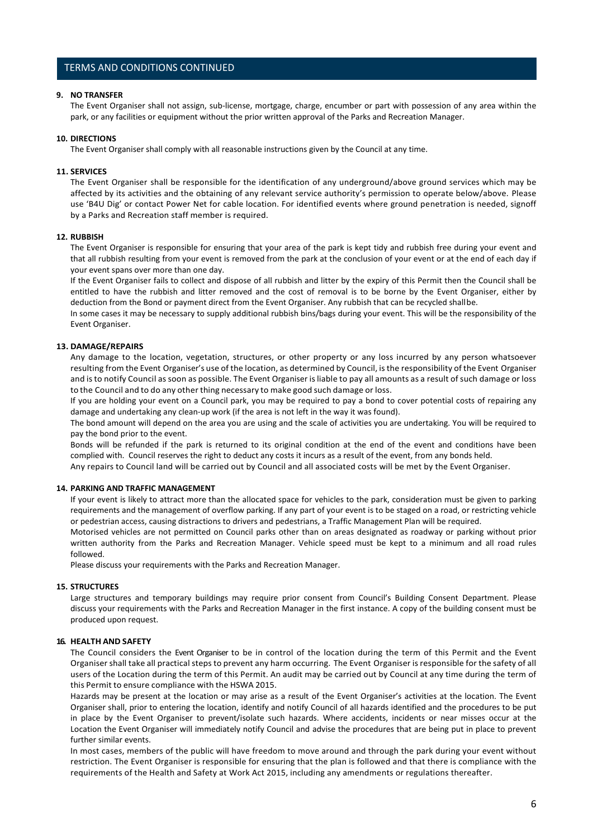### TERMS AND CONDITIONS CONTINUED

#### **9. NO TRANSFER**

The Event Organiser shall not assign, sub-license, mortgage, charge, encumber or part with possession of any area within the park, or any facilities or equipment without the prior written approval of the Parks and Recreation Manager.

#### **10. DIRECTIONS**

The Event Organiser shall comply with all reasonable instructions given by the Council at any time.

#### **11. SERVICES**

The Event Organiser shall be responsible for the identification of any underground/above ground services which may be affected by its activities and the obtaining of any relevant service authority's permission to operate below/above. Please use 'B4U Dig' or contact Power Net for cable location. For identified events where ground penetration is needed, signoff by a Parks and Recreation staff member is required.

#### **12. RUBBISH**

The Event Organiser is responsible for ensuring that your area of the park is kept tidy and rubbish free during your event and that all rubbish resulting from your event is removed from the park at the conclusion of your event or at the end of each day if your event spans over more than one day.

If the Event Organiser fails to collect and dispose of all rubbish and litter by the expiry of this Permit then the Council shall be entitled to have the rubbish and litter removed and the cost of removal is to be borne by the Event Organiser, either by deduction from the Bond or payment direct from the Event Organiser. Any rubbish that can be recycled shallbe.

In some cases it may be necessary to supply additional rubbish bins/bags during your event. This will be the responsibility of the Event Organiser.

#### **13. DAMAGE/REPAIRS**

Any damage to the location, vegetation, structures, or other property or any loss incurred by any person whatsoever resulting from the Event Organiser's use of the location, as determined by Council, isthe responsibility of the Event Organiser and isto notify Council assoon as possible. The Event Organiser isliable to pay all amounts as a result of such damage or loss to the Council and to do any other thing necessary to make good such damage or loss.

If you are holding your event on a Council park, you may be required to pay a bond to cover potential costs of repairing any damage and undertaking any clean-up work (if the area is not left in the way it was found).

The bond amount will depend on the area you are using and the scale of activities you are undertaking. You will be required to pay the bond prior to the event.

Bonds will be refunded if the park is returned to its original condition at the end of the event and conditions have been complied with. Council reserves the right to deduct any costs it incurs as a result of the event, from any bonds held.

Any repairs to Council land will be carried out by Council and all associated costs will be met by the Event Organiser.

#### **14. PARKING AND TRAFFIC MANAGEMENT**

If your event is likely to attract more than the allocated space for vehicles to the park, consideration must be given to parking requirements and the management of overflow parking. If any part of your event is to be staged on a road, or restricting vehicle or pedestrian access, causing distractions to drivers and pedestrians, a Traffic Management Plan will be required.

Motorised vehicles are not permitted on Council parks other than on areas designated as roadway or parking without prior written authority from the Parks and Recreation Manager. Vehicle speed must be kept to a minimum and all road rules followed.

Please discuss your requirements with the Parks and Recreation Manager.

#### **15. STRUCTURES**

Large structures and temporary buildings may require prior consent from Council's Building Consent Department. Please discuss your requirements with the Parks and Recreation Manager in the first instance. A copy of the building consent must be produced upon request.

#### **16. HEALTH AND SAFETY**

The Council considers the Event Organiser to be in control of the location during the term of this Permit and the Event Organiser shall take all practical stepsto prevent any harm occurring. The Event Organiser isresponsible for the safety of all users of the Location during the term of this Permit. An audit may be carried out by Council at any time during the term of this Permit to ensure compliance with the HSWA 2015.

Hazards may be present at the location or may arise as a result of the Event Organiser's activities at the location. The Event Organiser shall, prior to entering the location, identify and notify Council of all hazards identified and the procedures to be put in place by the Event Organiser to prevent/isolate such hazards. Where accidents, incidents or near misses occur at the Location the Event Organiser will immediately notify Council and advise the procedures that are being put in place to prevent further similar events.

In most cases, members of the public will have freedom to move around and through the park during your event without restriction. The Event Organiser is responsible for ensuring that the plan is followed and that there is compliance with the requirements of the Health and Safety at Work Act 2015, including any amendments or regulations thereafter.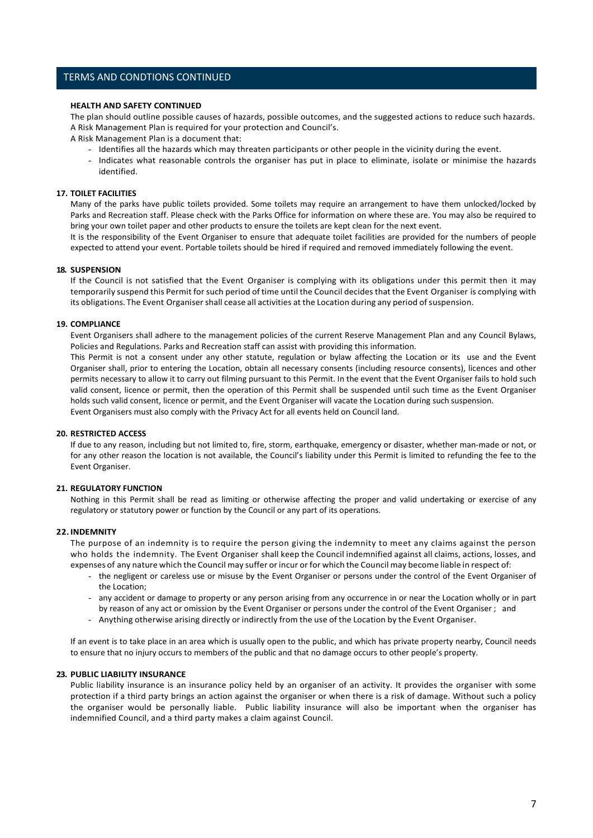### TERMS AND CONDTIONS CONTINUED

#### **HEALTH AND SAFETY CONTINUED**

The plan should outline possible causes of hazards, possible outcomes, and the suggested actions to reduce such hazards. A Risk Management Plan is required for your protection and Council's.

A Risk Management Plan is a document that:

- Identifies all the hazards which may threaten participants or other people in the vicinity during the event.
- Indicates what reasonable controls the organiser has put in place to eliminate, isolate or minimise the hazards identified.

#### **17. TOILET FACILITIES**

Many of the parks have public toilets provided. Some toilets may require an arrangement to have them unlocked/locked by Parks and Recreation staff. Please check with the Parks Office for information on where these are. You may also be required to bring your own toilet paper and other products to ensure the toilets are kept clean for the next event.

It is the responsibility of the Event Organiser to ensure that adequate toilet facilities are provided for the numbers of people expected to attend your event. Portable toilets should be hired if required and removed immediately following the event.

#### **18. SUSPENSION**

If the Council is not satisfied that the Event Organiser is complying with its obligations under this permit then it may temporarily suspend this Permit for such period of time until the Council decidesthat the Event Organiser is complying with its obligations. The Event Organiser shall cease all activities at the Location during any period of suspension.

#### **19. COMPLIANCE**

Event Organisers shall adhere to the management policies of the current Reserve Management Plan and any Council Bylaws, Policies and Regulations. Parks and Recreation staff can assist with providing this information.

This Permit is not a consent under any other statute, regulation or bylaw affecting the Location or its use and the Event Organiser shall, prior to entering the Location, obtain all necessary consents (including resource consents), licences and other permits necessary to allow it to carry out filming pursuant to this Permit. In the event that the Event Organiser fails to hold such valid consent, licence or permit, then the operation of this Permit shall be suspended until such time as the Event Organiser holds such valid consent, licence or permit, and the Event Organiser will vacate the Location during such suspension. Event Organisers must also comply with the Privacy Act for all events held on Council land.

#### **20. RESTRICTED ACCESS**

If due to any reason, including but not limited to, fire, storm, earthquake, emergency or disaster, whether man-made or not, or for any other reason the location is not available, the Council's liability under this Permit is limited to refunding the fee to the Event Organiser.

#### **21. REGULATORY FUNCTION**

Nothing in this Permit shall be read as limiting or otherwise affecting the proper and valid undertaking or exercise of any regulatory or statutory power or function by the Council or any part of its operations.

#### **22. INDEMNITY**

The purpose of an indemnity is to require the person giving the indemnity to meet any claims against the person who holds the indemnity. The Event Organiser shall keep the Council indemnified against all claims, actions, losses, and expenses of any nature which the Council may suffer or incur or for which the Council may become liable in respect of:

- the negligent or careless use or misuse by the Event Organiser or persons under the control of the Event Organiser of the Location;
- any accident or damage to property or any person arising from any occurrence in or near the Location wholly or in part by reason of any act or omission by the Event Organiser or persons under the control of the Event Organiser ; and
- Anything otherwise arising directly or indirectly from the use of the Location by the Event Organiser.

If an event is to take place in an area which is usually open to the public, and which has private property nearby, Council needs to ensure that no injury occurs to members of the public and that no damage occurs to other people's property.

#### **23. PUBLIC LIABILITY INSURANCE**

Public liability insurance is an insurance policy held by an organiser of an activity. It provides the organiser with some protection if a third party brings an action against the organiser or when there is a risk of damage. Without such a policy the organiser would be personally liable. Public liability insurance will also be important when the organiser has indemnified Council, and a third party makes a claim against Council.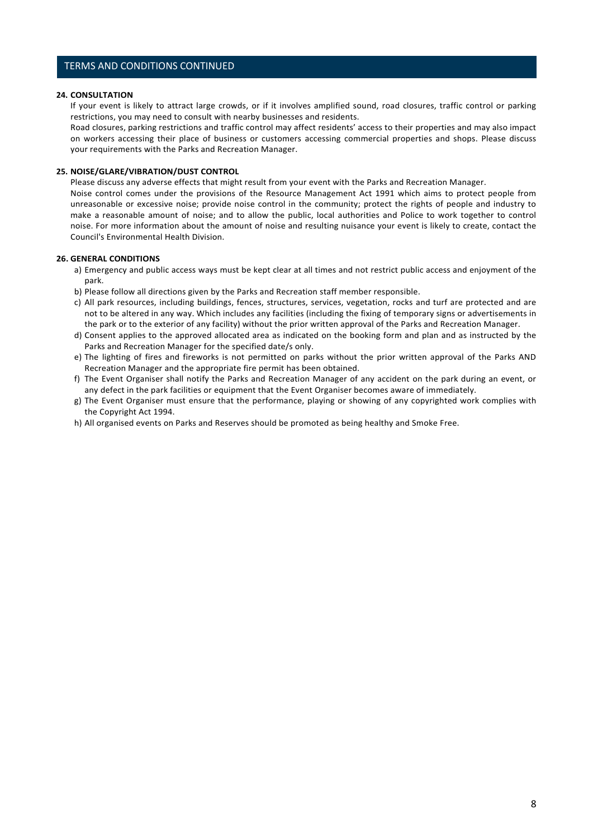### TERMS AND CONDITIONS CONTINUED

#### **24. CONSULTATION**

If your event is likely to attract large crowds, or if it involves amplified sound, road closures, traffic control or parking restrictions, you may need to consult with nearby businesses and residents.

Road closures, parking restrictions and traffic control may affect residents' access to their properties and may also impact on workers accessing their place of business or customers accessing commercial properties and shops. Please discuss your requirements with the Parks and Recreation Manager.

#### **25. NOISE/GLARE/VIBRATION/DUST CONTROL**

Please discuss any adverse effects that might result from your event with the Parks and Recreation Manager.

Noise control comes under the provisions of the Resource Management Act 1991 which aims to protect people from unreasonable or excessive noise; provide noise control in the community; protect the rights of people and industry to make a reasonable amount of noise; and to allow the public, local authorities and Police to work together to control noise. For more information about the amount of noise and resulting nuisance your event is likely to create, contact the Council's Environmental Health Division.

#### **26. GENERAL CONDITIONS**

- a) Emergency and public access ways must be kept clear at all times and not restrict public access and enjoyment of the park.
- b) Please follow all directions given by the Parks and Recreation staff member responsible.
- c) All park resources, including buildings, fences, structures, services, vegetation, rocks and turf are protected and are not to be altered in any way. Which includes any facilities (including the fixing of temporary signs or advertisements in the park or to the exterior of any facility) without the prior written approval of the Parks and Recreation Manager.
- d) Consent applies to the approved allocated area as indicated on the booking form and plan and as instructed by the Parks and Recreation Manager for the specified date/s only.
- e) The lighting of fires and fireworks is not permitted on parks without the prior written approval of the Parks AND Recreation Manager and the appropriate fire permit has been obtained.
- f) The Event Organiser shall notify the Parks and Recreation Manager of any accident on the park during an event, or any defect in the park facilities or equipment that the Event Organiser becomes aware of immediately.
- g) The Event Organiser must ensure that the performance, playing or showing of any copyrighted work complies with the Copyright Act 1994.
- h) All organised events on Parks and Reserves should be promoted as being healthy and Smoke Free.